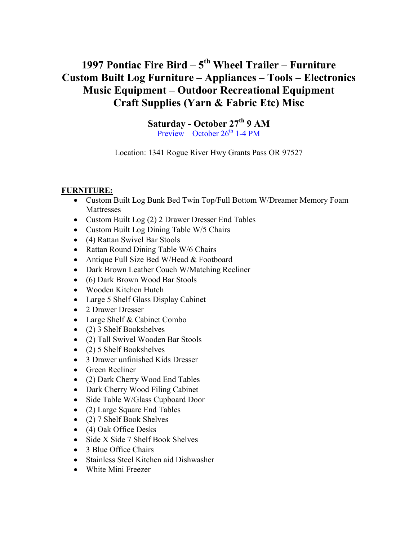# 1997 Pontiac Fire Bird  $-5<sup>th</sup>$  Wheel Trailer – Furniture Custom Built Log Furniture – Appliances – Tools – Electronics Music Equipment – Outdoor Recreational Equipment Craft Supplies (Yarn & Fabric Etc) Misc

Saturday - October 27<sup>th</sup> 9 AM Preview – October  $26^{th}$  1-4 PM

Location: 1341 Rogue River Hwy Grants Pass OR 97527

#### FURNITURE:

- Custom Built Log Bunk Bed Twin Top/Full Bottom W/Dreamer Memory Foam Mattresses
- Custom Built Log (2) 2 Drawer Dresser End Tables
- Custom Built Log Dining Table W/5 Chairs
- (4) Rattan Swivel Bar Stools
- Rattan Round Dining Table W/6 Chairs
- Antique Full Size Bed W/Head & Footboard
- Dark Brown Leather Couch W/Matching Recliner
- (6) Dark Brown Wood Bar Stools
- Wooden Kitchen Hutch
- Large 5 Shelf Glass Display Cabinet
- 2 Drawer Dresser
- Large Shelf & Cabinet Combo
- (2) 3 Shelf Bookshelves
- (2) Tall Swivel Wooden Bar Stools
- (2) 5 Shelf Bookshelves
- 3 Drawer unfinished Kids Dresser
- Green Recliner
- (2) Dark Cherry Wood End Tables
- Dark Cherry Wood Filing Cabinet
- Side Table W/Glass Cupboard Door
- (2) Large Square End Tables
- (2) 7 Shelf Book Shelves
- (4) Oak Office Desks
- Side X Side 7 Shelf Book Shelves
- 3 Blue Office Chairs
- Stainless Steel Kitchen aid Dishwasher
- White Mini Freezer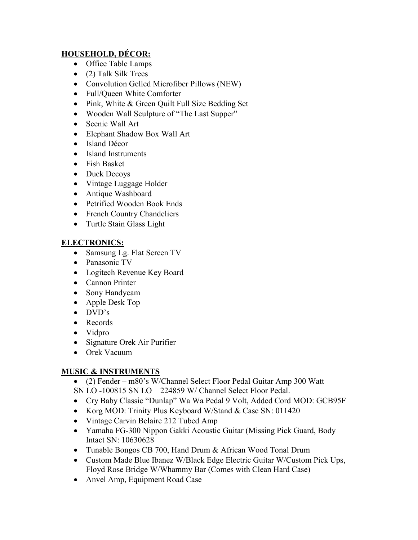# HOUSEHOLD, DÉCOR:

- Office Table Lamps
- (2) Talk Silk Trees
- Convolution Gelled Microfiber Pillows (NEW)
- Full/Queen White Comforter
- Pink, White & Green Quilt Full Size Bedding Set
- Wooden Wall Sculpture of "The Last Supper"
- Scenic Wall Art
- Elephant Shadow Box Wall Art
- Island Décor
- Island Instruments
- Fish Basket
- Duck Decoys
- Vintage Luggage Holder
- Antique Washboard
- Petrified Wooden Book Ends
- French Country Chandeliers
- Turtle Stain Glass Light

## ELECTRONICS:

- Samsung Lg. Flat Screen TV
- Panasonic TV
- Logitech Revenue Key Board
- Cannon Printer
- Sony Handycam
- Apple Desk Top
- $\bullet$  DVD's
- Records
- Vidpro
- Signature Orek Air Purifier
- Orek Vacuum

## MUSIC & INSTRUMENTS

- (2) Fender m80's W/Channel Select Floor Pedal Guitar Amp 300 Watt SN LO -100815 SN LO – 224859 W/ Channel Select Floor Pedal.
- Cry Baby Classic "Dunlap" Wa Wa Pedal 9 Volt, Added Cord MOD: GCB95F
- Korg MOD: Trinity Plus Keyboard W/Stand & Case SN: 011420
- Vintage Carvin Belaire 212 Tubed Amp
- Yamaha FG-300 Nippon Gakki Acoustic Guitar (Missing Pick Guard, Body Intact SN: 10630628
- Tunable Bongos CB 700, Hand Drum & African Wood Tonal Drum
- Custom Made Blue Ibanez W/Black Edge Electric Guitar W/Custom Pick Ups, Floyd Rose Bridge W/Whammy Bar (Comes with Clean Hard Case)
- Anvel Amp, Equipment Road Case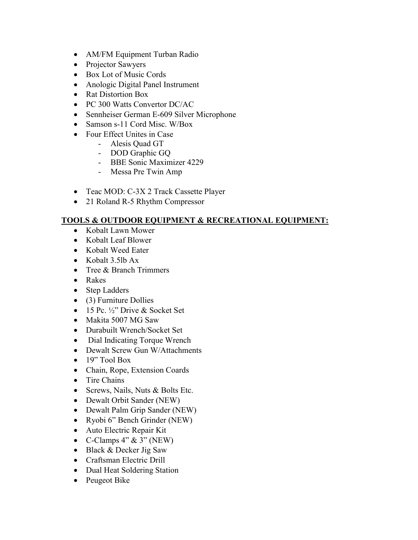- AM/FM Equipment Turban Radio
- Projector Sawyers
- Box Lot of Music Cords
- Anologic Digital Panel Instrument
- Rat Distortion Box
- PC 300 Watts Convertor DC/AC
- Sennheiser German E-609 Silver Microphone
- Samson s-11 Cord Misc. W/Box
- Four Effect Unites in Case
	- Alesis Quad GT
	- DOD Graphic GQ
	- BBE Sonic Maximizer 4229
	- Messa Pre Twin Amp
- Teac MOD: C-3X 2 Track Cassette Player
- 21 Roland R-5 Rhythm Compressor

# TOOLS & OUTDOOR EQUIPMENT & RECREATIONAL EQUIPMENT:

- Kobalt Lawn Mower
- Kobalt Leaf Blower
- Kobalt Weed Eater
- Kobalt 3.5lb Ax
- Tree & Branch Trimmers
- Rakes
- Step Ladders
- (3) Furniture Dollies
- $\bullet$  15 Pc.  $\frac{1}{2}$ " Drive & Socket Set
- Makita 5007 MG Saw
- Durabuilt Wrench/Socket Set
- Dial Indicating Torque Wrench
- Dewalt Screw Gun W/Attachments
- $\bullet$  19" Tool Box
- Chain, Rope, Extension Coards
- Tire Chains
- Screws, Nails, Nuts & Bolts Etc.
- Dewalt Orbit Sander (NEW)
- Dewalt Palm Grip Sander (NEW)
- Ryobi 6" Bench Grinder (NEW)
- Auto Electric Repair Kit
- C-Clamps  $4" \& 3" (NEW)$
- Black & Decker Jig Saw
- Craftsman Electric Drill
- Dual Heat Soldering Station
- Peugeot Bike